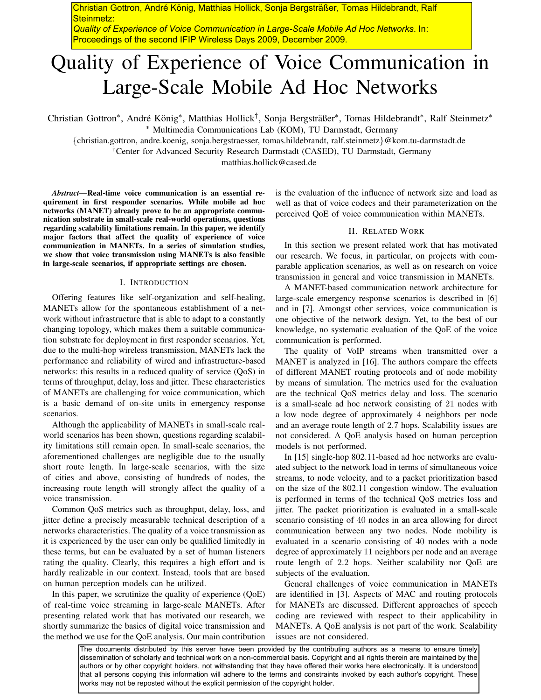Christian Gottron, André König, Matthias Hollick, Sonja Bergsträßer, Tomas Hildebrandt, Ralf Steinmetz:

*Quality of Experience of Voice Communication in Large-Scale Mobile Ad Hoc Networks*. In: Proceedings of the second IFIP Wireless Days 2009, December 2009.

# Quality of Experience of Voice Communication in Large-Scale Mobile Ad Hoc Networks

Christian Gottron<sup>∗</sup>, André König<sup>∗</sup>, Matthias Hollick<sup>†</sup>, Sonja Bergsträßer<sup>∗</sup>, Tomas Hildebrandt<sup>∗</sup>, Ralf Steinmetz<sup>∗</sup> ∗ Multimedia Communications Lab (KOM), TU Darmstadt, Germany

*{*christian.gottron, andre.koenig, sonja.bergstraesser, tomas.hildebrandt, ralf.steinmetz*}*@kom.tu-darmstadt.de

†Center for Advanced Security Research Darmstadt (CASED), TU Darmstadt, Germany

matthias.hollick@cased.de

*Abstract***—Real-time voice communication is an essential requirement in first responder scenarios. While mobile ad hoc networks (MANET) already prove to be an appropriate communication substrate in small-scale real-world operations, questions regarding scalability limitations remain. In this paper, we identify major factors that affect the quality of experience of voice communication in MANETs. In a series of simulation studies, we show that voice transmission using MANETs is also feasible in large-scale scenarios, if appropriate settings are chosen.**

## I. INTRODUCTION

Offering features like self-organization and self-healing, MANETs allow for the spontaneous establishment of a network without infrastructure that is able to adapt to a constantly changing topology, which makes them a suitable communication substrate for deployment in first responder scenarios. Yet, due to the multi-hop wireless transmission, MANETs lack the performance and reliability of wired and infrastructure-based networks: this results in a reduced quality of service (QoS) in terms of throughput, delay, loss and jitter. These characteristics of MANETs are challenging for voice communication, which is a basic demand of on-site units in emergency response scenarios.

Although the applicability of MANETs in small-scale realworld scenarios has been shown, questions regarding scalability limitations still remain open. In small-scale scenarios, the aforementioned challenges are negligible due to the usually short route length. In large-scale scenarios, with the size of cities and above, consisting of hundreds of nodes, the increasing route length will strongly affect the quality of a voice transmission.

Common QoS metrics such as throughput, delay, loss, and jitter define a precisely measurable technical description of a networks characteristics. The quality of a voice transmission as it is experienced by the user can only be qualified limitedly in these terms, but can be evaluated by a set of human listeners rating the quality. Clearly, this requires a high effort and is hardly realizable in our context. Instead, tools that are based on human perception models can be utilized.

In this paper, we scrutinize the quality of experience (QoE) of real-time voice streaming in large-scale MANETs. After presenting related work that has motivated our research, we shortly summarize the basics of digital voice transmission and the method we use for the QoE analysis. Our main contribution

is the evaluation of the influence of network size and load as well as that of voice codecs and their parameterization on the perceived QoE of voice communication within MANETs.

## II. RELATED WORK

In this section we present related work that has motivated our research. We focus, in particular, on projects with comparable application scenarios, as well as on research on voice transmission in general and voice transmission in MANETs.

A MANET-based communication network architecture for large-scale emergency response scenarios is described in [6] and in [7]. Amongst other services, voice communication is one objective of the network design. Yet, to the best of our knowledge, no systematic evaluation of the QoE of the voice communication is performed.

The quality of VoIP streams when transmitted over a MANET is analyzed in [16]. The authors compare the effects of different MANET routing protocols and of node mobility by means of simulation. The metrics used for the evaluation are the technical QoS metrics delay and loss. The scenario is a small-scale ad hoc network consisting of 21 nodes with a low node degree of approximately 4 neighbors per node and an average route length of 2*.*7 hops. Scalability issues are not considered. A QoE analysis based on human perception models is not performed.

In [15] single-hop 802.11-based ad hoc networks are evaluated subject to the network load in terms of simultaneous voice streams, to node velocity, and to a packet prioritization based on the size of the 802.11 congestion window. The evaluation is performed in terms of the technical QoS metrics loss and jitter. The packet prioritization is evaluated in a small-scale scenario consisting of 40 nodes in an area allowing for direct communication between any two nodes. Node mobility is evaluated in a scenario consisting of 40 nodes with a node degree of approximately 11 neighbors per node and an average route length of 2*.*2 hops. Neither scalability nor QoE are subjects of the evaluation.

General challenges of voice communication in MANETs are identified in [3]. Aspects of MAC and routing protocols for MANETs are discussed. Different approaches of speech coding are reviewed with respect to their applicability in MANETs. A QoE analysis is not part of the work. Scalability issues are not considered.

The documents distributed by this server have been provided by the contributing authors as a means to ensure timely dissemination of scholarly and technical work on a non-commercial basis. Copyright and all rights therein are maintained by the authors or by other copyright holders, not withstanding that they have offered their works here electronically. It is understood that all persons copying this information will adhere to the terms and constraints invoked by each author's copyright. These works may not be reposted without the explicit permission of the copyright holder.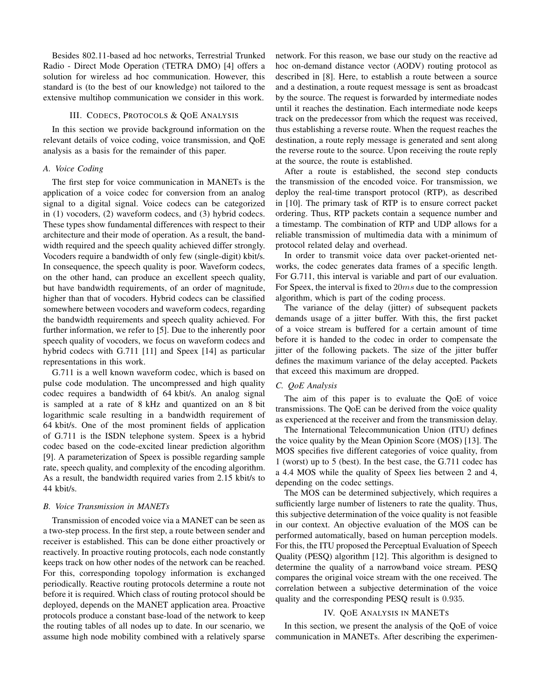Besides 802.11-based ad hoc networks, Terrestrial Trunked Radio - Direct Mode Operation (TETRA DMO) [4] offers a solution for wireless ad hoc communication. However, this standard is (to the best of our knowledge) not tailored to the extensive multihop communication we consider in this work.

## III. CODECS, PROTOCOLS & QOE ANALYSIS

In this section we provide background information on the relevant details of voice coding, voice transmission, and QoE analysis as a basis for the remainder of this paper.

## *A. Voice Coding*

The first step for voice communication in MANETs is the application of a voice codec for conversion from an analog signal to a digital signal. Voice codecs can be categorized in (1) vocoders, (2) waveform codecs, and (3) hybrid codecs. These types show fundamental differences with respect to their architecture and their mode of operation. As a result, the bandwidth required and the speech quality achieved differ strongly. Vocoders require a bandwidth of only few (single-digit) kbit/s. In consequence, the speech quality is poor. Waveform codecs, on the other hand, can produce an excellent speech quality, but have bandwidth requirements, of an order of magnitude, higher than that of vocoders. Hybrid codecs can be classified somewhere between vocoders and waveform codecs, regarding the bandwidth requirements and speech quality achieved. For further information, we refer to [5]. Due to the inherently poor speech quality of vocoders, we focus on waveform codecs and hybrid codecs with G.711 [11] and Speex [14] as particular representations in this work.

G.711 is a well known waveform codec, which is based on pulse code modulation. The uncompressed and high quality codec requires a bandwidth of 64 kbit/s. An analog signal is sampled at a rate of 8 kHz and quantized on an 8 bit logarithmic scale resulting in a bandwidth requirement of 64 kbit/s. One of the most prominent fields of application of G.711 is the ISDN telephone system. Speex is a hybrid codec based on the code-excited linear prediction algorithm [9]. A parameterization of Speex is possible regarding sample rate, speech quality, and complexity of the encoding algorithm. As a result, the bandwidth required varies from 2.15 kbit/s to 44 kbit/s.

#### *B. Voice Transmission in MANETs*

Transmission of encoded voice via a MANET can be seen as a two-step process. In the first step, a route between sender and receiver is established. This can be done either proactively or reactively. In proactive routing protocols, each node constantly keeps track on how other nodes of the network can be reached. For this, corresponding topology information is exchanged periodically. Reactive routing protocols determine a route not before it is required. Which class of routing protocol should be deployed, depends on the MANET application area. Proactive protocols produce a constant base-load of the network to keep the routing tables of all nodes up to date. In our scenario, we assume high node mobility combined with a relatively sparse network. For this reason, we base our study on the reactive ad hoc on-demand distance vector (AODV) routing protocol as described in [8]. Here, to establish a route between a source and a destination, a route request message is sent as broadcast by the source. The request is forwarded by intermediate nodes until it reaches the destination. Each intermediate node keeps track on the predecessor from which the request was received, thus establishing a reverse route. When the request reaches the destination, a route reply message is generated and sent along the reverse route to the source. Upon receiving the route reply at the source, the route is established.

After a route is established, the second step conducts the transmission of the encoded voice. For transmission, we deploy the real-time transport protocol (RTP), as described in [10]. The primary task of RTP is to ensure correct packet ordering. Thus, RTP packets contain a sequence number and a timestamp. The combination of RTP and UDP allows for a reliable transmission of multimedia data with a minimum of protocol related delay and overhead.

In order to transmit voice data over packet-oriented networks, the codec generates data frames of a specific length. For G.711, this interval is variable and part of our evaluation. For Speex, the interval is fixed to 20*ms* due to the compression algorithm, which is part of the coding process.

The variance of the delay (jitter) of subsequent packets demands usage of a jitter buffer. With this, the first packet of a voice stream is buffered for a certain amount of time before it is handed to the codec in order to compensate the jitter of the following packets. The size of the jitter buffer defines the maximum variance of the delay accepted. Packets that exceed this maximum are dropped.

## *C. QoE Analysis*

The aim of this paper is to evaluate the QoE of voice transmissions. The QoE can be derived from the voice quality as experienced at the receiver and from the transmission delay.

The International Telecommunication Union (ITU) defines the voice quality by the Mean Opinion Score (MOS) [13]. The MOS specifies five different categories of voice quality, from 1 (worst) up to 5 (best). In the best case, the G.711 codec has a 4.4 MOS while the quality of Speex lies between 2 and 4, depending on the codec settings.

The MOS can be determined subjectively, which requires a sufficiently large number of listeners to rate the quality. Thus, this subjective determination of the voice quality is not feasible in our context. An objective evaluation of the MOS can be performed automatically, based on human perception models. For this, the ITU proposed the Perceptual Evaluation of Speech Quality (PESQ) algorithm [12]. This algorithm is designed to determine the quality of a narrowband voice stream. PESQ compares the original voice stream with the one received. The correlation between a subjective determination of the voice quality and the corresponding PESQ result is 0*.*935.

#### IV. QOE ANALYSIS IN MANETS

In this section, we present the analysis of the QoE of voice communication in MANETs. After describing the experimen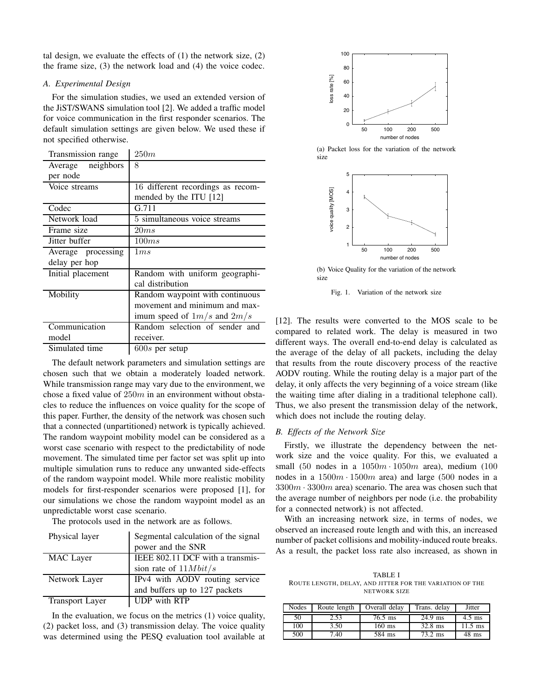tal design, we evaluate the effects of  $(1)$  the network size,  $(2)$ the frame size, (3) the network load and (4) the voice codec.

#### *A. Experimental Design*

For the simulation studies, we used an extended version of the JiST/SWANS simulation tool [2]. We added a traffic model for voice communication in the first responder scenarios. The default simulation settings are given below. We used these if not specified otherwise.

| Transmission range | 250m                              |
|--------------------|-----------------------------------|
| Average neighbors  | 8                                 |
| per node           |                                   |
| Voice streams      | 16 different recordings as recom- |
|                    | mended by the ITU [12]            |
| Codec              | G.711                             |
| Network load       | 5 simultaneous voice streams      |
| Frame size         | 20ms                              |
| Jitter buffer      | 100ms                             |
| Average processing | 1ms                               |
| delay per hop      |                                   |
| Initial placement  | Random with uniform geographi-    |
|                    | cal distribution                  |
| Mobility           | Random waypoint with continuous   |
|                    | movement and minimum and max-     |
|                    | imum speed of $1m/s$ and $2m/s$   |
| Communication      | Random selection of sender and    |
| model              | receiver.                         |
| Simulated time     | $600s$ per setup                  |

The default network parameters and simulation settings are chosen such that we obtain a moderately loaded network. While transmission range may vary due to the environment, we chose a fixed value of 250*m* in an environment without obstacles to reduce the influences on voice quality for the scope of this paper. Further, the density of the network was chosen such that a connected (unpartitioned) network is typically achieved. The random waypoint mobility model can be considered as a worst case scenario with respect to the predictability of node movement. The simulated time per factor set was split up into multiple simulation runs to reduce any unwanted side-effects of the random waypoint model. While more realistic mobility models for first-responder scenarios were proposed [1], for our simulations we chose the random waypoint model as an unpredictable worst case scenario.

The protocols used in the network are as follows.

| Physical layer         | Segmental calculation of the signal |  |
|------------------------|-------------------------------------|--|
|                        | power and the SNR                   |  |
| <b>MAC</b> Layer       | IEEE 802.11 DCF with a transmis-    |  |
|                        | sion rate of $11Mbit/s$             |  |
| Network Layer          | IPv4 with AODV routing service      |  |
|                        | and buffers up to 127 packets       |  |
| <b>Transport Layer</b> | UDP with RTP                        |  |

In the evaluation, we focus on the metrics (1) voice quality, (2) packet loss, and (3) transmission delay. The voice quality was determined using the PESQ evaluation tool available at



(a) Packet loss for the variation of the network size



(b) Voice Quality for the variation of the network size

Fig. 1. Variation of the network size

[12]. The results were converted to the MOS scale to be compared to related work. The delay is measured in two different ways. The overall end-to-end delay is calculated as the average of the delay of all packets, including the delay that results from the route discovery process of the reactive AODV routing. While the routing delay is a major part of the delay, it only affects the very beginning of a voice stream (like the waiting time after dialing in a traditional telephone call). Thus, we also present the transmission delay of the network, which does not include the routing delay.

#### *B. Effects of the Network Size*

Firstly, we illustrate the dependency between the network size and the voice quality. For this, we evaluated a small (50 nodes in a 1050*m ·* 1050*m* area), medium (100 nodes in a 1500*m ·* 1500*m* area) and large (500 nodes in a 3300*m ·* 3300*m* area) scenario. The area was chosen such that the average number of neighbors per node (i.e. the probability for a connected network) is not affected.

With an increasing network size, in terms of nodes, we observed an increased route length and with this, an increased number of packet collisions and mobility-induced route breaks. As a result, the packet loss rate also increased, as shown in

TABLE I ROUTE LENGTH, DELAY, AND JITTER FOR THE VARIATION OF THE NETWORK SIZE

| <b>Nodes</b> | Route length | Overall delay | Trans. delay | Jitter    |
|--------------|--------------|---------------|--------------|-----------|
| 50           | 2.53         | $76.5$ ms     | 24.9 ms      | $4.5$ ms  |
| 100          | 3.50         | $160$ ms      | $32.8$ ms    | $11.5$ ms |
| 500          | 7.40         | 584 ms        | 73.2 ms      | 48 ms     |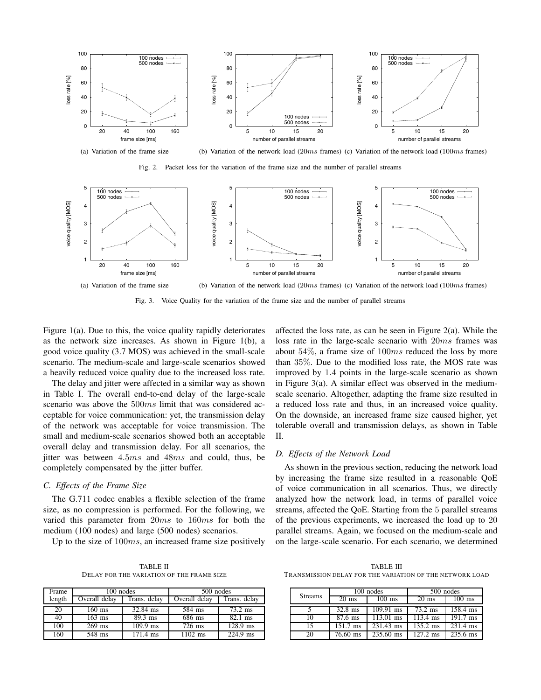

Fig. 2. Packet loss for the variation of the frame size and the number of parallel streams



Fig. 3. Voice Quality for the variation of the frame size and the number of parallel streams

Figure 1(a). Due to this, the voice quality rapidly deteriorates as the network size increases. As shown in Figure 1(b), a good voice quality (3.7 MOS) was achieved in the small-scale scenario. The medium-scale and large-scale scenarios showed a heavily reduced voice quality due to the increased loss rate.

The delay and jitter were affected in a similar way as shown in Table I. The overall end-to-end delay of the large-scale scenario was above the 500*ms* limit that was considered acceptable for voice communication: yet, the transmission delay of the network was acceptable for voice transmission. The small and medium-scale scenarios showed both an acceptable overall delay and transmission delay. For all scenarios, the jitter was between 4*.*5*ms* and 48*ms* and could, thus, be completely compensated by the jitter buffer.

#### *C. Effects of the Frame Size*

The G.711 codec enables a flexible selection of the frame size, as no compression is performed. For the following, we varied this parameter from 20*ms* to 160*ms* for both the medium (100 nodes) and large (500 nodes) scenarios.

Up to the size of 100*ms*, an increased frame size positively

TABLE II DELAY FOR THE VARIATION OF THE FRAME SIZE

| Frame  | 100 nodes     |                    | 500 nodes     |              |
|--------|---------------|--------------------|---------------|--------------|
| length | Overall delay | Trans. delay       | Overall delay | Trans. delay |
| 20     | $160$ ms      | 32.84 ms           | 584 ms        | 73.2 ms      |
| 40     | $163$ ms      | $89.3$ ms          | 686 ms        | $82.1$ ms    |
| 100    | $269$ ms      | $109.9$ ms         | $726$ ms      | $128.9$ ms   |
| 160    | 548 ms        | $171.4 \text{ ms}$ | $1102$ ms     | $224.9$ ms   |

affected the loss rate, as can be seen in Figure 2(a). While the loss rate in the large-scale scenario with 20*ms* frames was about 54%, a frame size of 100*ms* reduced the loss by more than 35%. Due to the modified loss rate, the MOS rate was improved by 1*.*4 points in the large-scale scenario as shown in Figure  $3(a)$ . A similar effect was observed in the mediumscale scenario. Altogether, adapting the frame size resulted in a reduced loss rate and thus, in an increased voice quality. On the downside, an increased frame size caused higher, yet tolerable overall and transmission delays, as shown in Table II.

#### *D. Effects of the Network Load*

As shown in the previous section, reducing the network load by increasing the frame size resulted in a reasonable QoE of voice communication in all scenarios. Thus, we directly analyzed how the network load, in terms of parallel voice streams, affected the QoE. Starting from the 5 parallel streams of the previous experiments, we increased the load up to 20 parallel streams. Again, we focused on the medium-scale and on the large-scale scenario. For each scenario, we determined

TABLE III TRANSMISSION DELAY FOR THE VARIATION OF THE NETWORK LOAD

|                | 100 nodes          |                        | 500 nodes          |                       |
|----------------|--------------------|------------------------|--------------------|-----------------------|
| <b>Streams</b> | $20 \text{ ms}$    | 100 ms                 | 20 ms              | $100$ ms              |
|                | $32.8$ ms          | $\overline{109.91}$ ms | $73.2 \text{ ms}$  | 158.4 ms              |
| 10             | $87.6$ ms          | $\overline{113.01}$ ms | $113.4 \text{ ms}$ | $\overline{19}1.7$ ms |
| 15             | $151.7 \text{ ms}$ | 231.43 ms              | $135.2 \text{ ms}$ | 231.4 ms              |
| 20             | $76.60$ ms         | 235.60 ms              | $127.2 \text{ ms}$ | $235.6 \text{ ms}$    |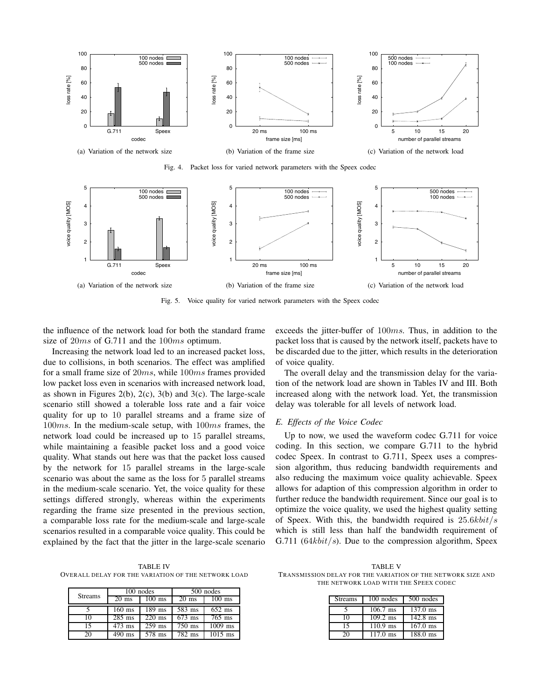

Fig. 4. Packet loss for varied network parameters with the Speex codec



Fig. 5. Voice quality for varied network parameters with the Speex codec

the influence of the network load for both the standard frame size of 20*ms* of G.711 and the 100*ms* optimum.

Increasing the network load led to an increased packet loss, due to collisions, in both scenarios. The effect was amplified for a small frame size of 20*ms*, while 100*ms* frames provided low packet loss even in scenarios with increased network load, as shown in Figures 2(b), 2(c), 3(b) and 3(c). The large-scale scenario still showed a tolerable loss rate and a fair voice quality for up to 10 parallel streams and a frame size of 100*ms*. In the medium-scale setup, with 100*ms* frames, the network load could be increased up to 15 parallel streams, while maintaining a feasible packet loss and a good voice quality. What stands out here was that the packet loss caused by the network for 15 parallel streams in the large-scale scenario was about the same as the loss for 5 parallel streams in the medium-scale scenario. Yet, the voice quality for these settings differed strongly, whereas within the experiments regarding the frame size presented in the previous section, a comparable loss rate for the medium-scale and large-scale scenarios resulted in a comparable voice quality. This could be explained by the fact that the jitter in the large-scale scenario

TABLE IV OVERALL DELAY FOR THE VARIATION OF THE NETWORK LOAD

|                | 100 nodes           |          | 500 nodes           |                      |
|----------------|---------------------|----------|---------------------|----------------------|
| <b>Streams</b> | $20 \text{ ms}$     | $100$ ms | $20 \text{ ms}$     | $100$ ms             |
|                | $160$ ms            | $189$ ms | 583 ms              | $652$ ms             |
| 10             | $\overline{285}$ ms | $220$ ms | $673$ ms            | $\overline{765}$ ms  |
| 15             | $\overline{473}$ ms | $259$ ms | $\overline{750}$ ms | $\overline{1009}$ ms |
| 20             | $\overline{490}$ ms | 578 ms   | 782 ms              | $\overline{1015}$ ms |

exceeds the jitter-buffer of 100*ms*. Thus, in addition to the packet loss that is caused by the network itself, packets have to be discarded due to the jitter, which results in the deterioration of voice quality.

The overall delay and the transmission delay for the variation of the network load are shown in Tables IV and III. Both increased along with the network load. Yet, the transmission delay was tolerable for all levels of network load.

#### *E. Effects of the Voice Codec*

Up to now, we used the waveform codec G.711 for voice coding. In this section, we compare G.711 to the hybrid codec Speex. In contrast to G.711, Speex uses a compression algorithm, thus reducing bandwidth requirements and also reducing the maximum voice quality achievable. Speex allows for adaption of this compression algorithm in order to further reduce the bandwidth requirement. Since our goal is to optimize the voice quality, we used the highest quality setting of Speex. With this, the bandwidth required is 25*.*6*kbit/s* which is still less than half the bandwidth requirement of G.711 (64*kbit/s*). Due to the compression algorithm, Speex

TABLE V TRANSMISSION DELAY FOR THE VARIATION OF THE NETWORK SIZE AND THE NETWORK LOAD WITH THE SPEEX CODEC

| <b>Streams</b> | 100 nodes          | 500 nodes  |
|----------------|--------------------|------------|
|                | $106.7$ ms         | 137.0 ms   |
| 10             | $109.2 \text{ ms}$ | 142.8 ms   |
| 15             | $110.9$ ms         | $167.0$ ms |
| 20             | $117.0 \text{ ms}$ | $188.0$ ms |